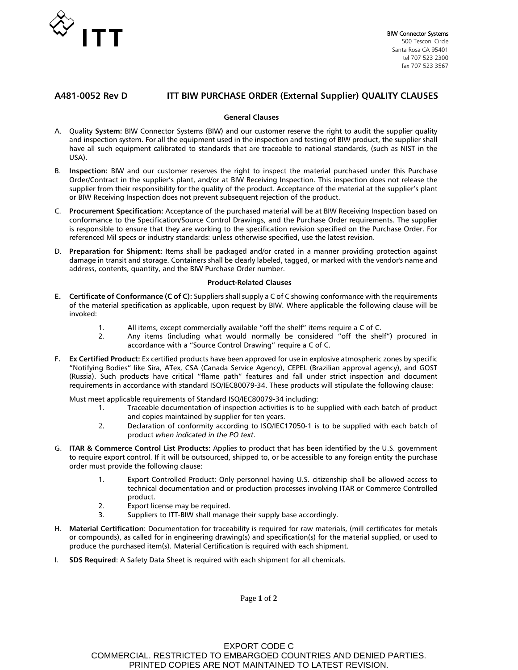

# **A481-0052 Rev D ITT BIW PURCHASE ORDER (External Supplier) QUALITY CLAUSES**

## **General Clauses**

- A. Quality **System:** BIW Connector Systems (BIW) and our customer reserve the right to audit the supplier quality and inspection system. For all the equipment used in the inspection and testing of BIW product, the supplier shall have all such equipment calibrated to standards that are traceable to national standards, (such as NIST in the USA).
- B. **Inspection:** BIW and our customer reserves the right to inspect the material purchased under this Purchase Order/Contract in the supplier's plant, and/or at BIW Receiving Inspection. This inspection does not release the supplier from their responsibility for the quality of the product. Acceptance of the material at the supplier's plant or BIW Receiving Inspection does not prevent subsequent rejection of the product.
- C. **Procurement Specification:** Acceptance of the purchased material will be at BIW Receiving Inspection based on conformance to the Specification/Source Control Drawings, and the Purchase Order requirements. The supplier is responsible to ensure that they are working to the specification revision specified on the Purchase Order. For referenced Mil specs or industry standards: unless otherwise specified, use the latest revision.
- D. **Preparation for Shipment:** Items shall be packaged and/or crated in a manner providing protection against damage in transit and storage. Containers shall be clearly labeled, tagged, or marked with the vendor's name and address, contents, quantity, and the BIW Purchase Order number.

## **Product-Related Clauses**

- **E. Certificate of Conformance (C of C):** Suppliers shall supply a C of C showing conformance with the requirements of the material specification as applicable, upon request by BIW. Where applicable the following clause will be invoked:
	- 1. All items, except commercially available "off the shelf" items require a C of C.
	- 2. Any items (including what would normally be considered "off the shelf") procured in accordance with a "Source Control Drawing" require a C of C.
- **F. Ex Certified Product:** Ex certified products have been approved for use in explosive atmospheric zones by specific "Notifying Bodies" like Sira, ATex, CSA (Canada Service Agency), CEPEL (Brazilian approval agency), and GOST (Russia). Such products have critical "flame path" features and fall under strict inspection and document requirements in accordance with standard ISO/IEC80079-34. These products will stipulate the following clause:

Must meet applicable requirements of Standard ISO/IEC80079-34 including:

- 1. Traceable documentation of inspection activities is to be supplied with each batch of product and copies maintained by supplier for ten years.
- 2. Declaration of conformity according to ISO/IEC17050-1 is to be supplied with each batch of product *when indicated in the PO text*.
- G. **ITAR & Commerce Control List Products:** Applies to product that has been identified by the U.S. government to require export control. If it will be outsourced, shipped to, or be accessible to any foreign entity the purchase order must provide the following clause:
	- 1. Export Controlled Product: Only personnel having U.S. citizenship shall be allowed access to technical documentation and or production processes involving ITAR or Commerce Controlled product.
	- 2. Export license may be required.
	- 3. Suppliers to ITT-BIW shall manage their supply base accordingly.
- H. **Material Certification**: Documentation for traceability is required for raw materials, (mill certificates for metals or compounds), as called for in engineering drawing(s) and specification(s) for the material supplied, or used to produce the purchased item(s). Material Certification is required with each shipment.
- I. **SDS Required**: A Safety Data Sheet is required with each shipment for all chemicals.

Page **1** of **2**

EXPORT CODE C COMMERCIAL. RESTRICTED TO EMBARGOED COUNTRIES AND DENIED PARTIES. PRINTED COPIES ARE NOT MAINTAINED TO LATEST REVISION.